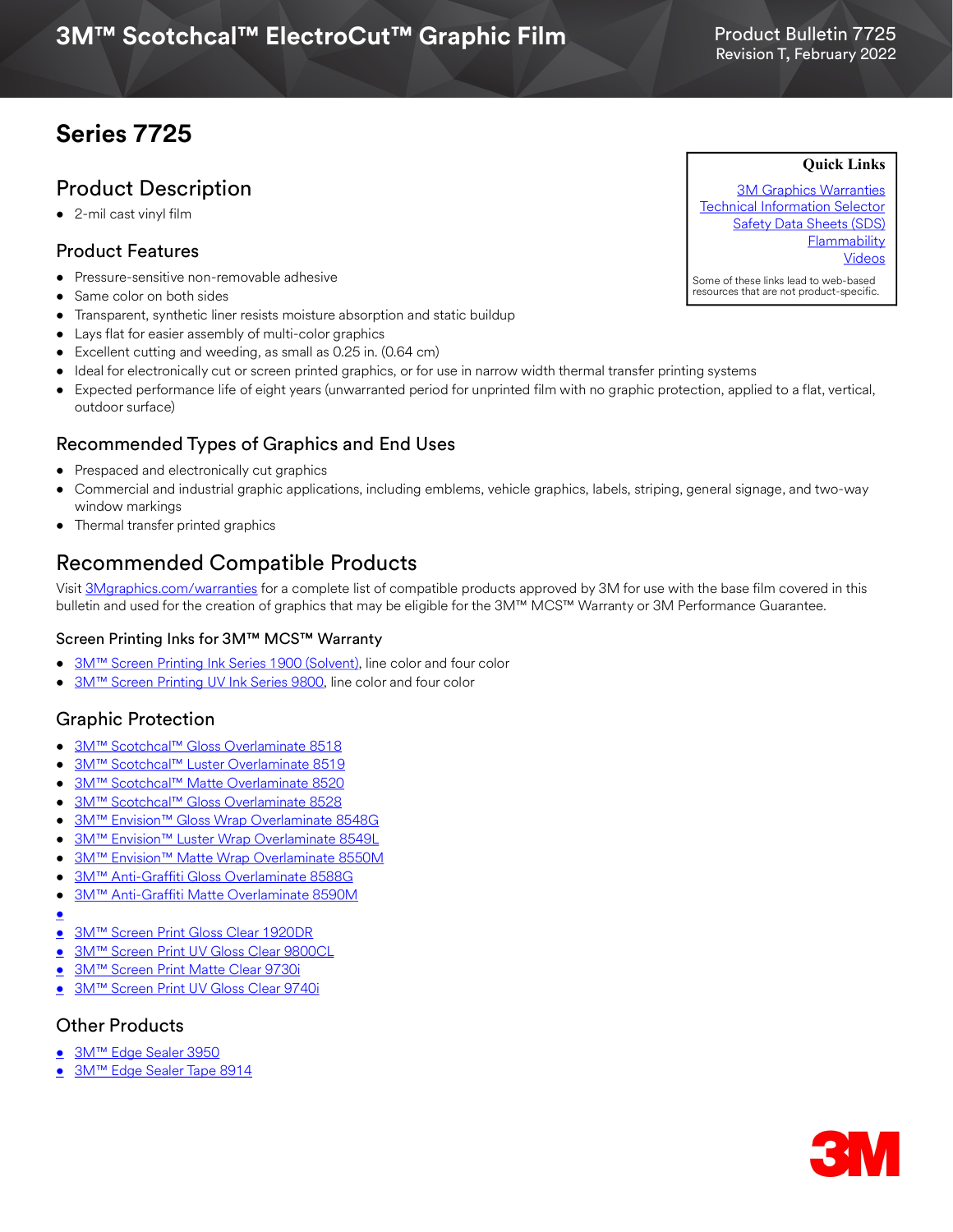# **Series 7725**

## Product Description

• 2-mil cast vinyl film

#### Product Features

- Pressure-sensitive non-removable adhesive
- Same color on both sides
- Transparent, synthetic liner resists moisture absorption and static buildup
- Lays flat for easier assembly of multi-color graphics
- Excellent cutting and weeding, as small as 0.25 in. (0.64 cm)
- Ideal for electronically cut or screen printed graphics, or for use in narrow width thermal transfer printing systems
- Expected performance life of eight years (unwarranted period for unprinted film with no graphic protection, applied to a flat, vertical, outdoor surface)

### Recommended Types of Graphics and End Uses

- Prespaced and electronically cut graphics
- Commercial and industrial graphic applications, including emblems, vehicle graphics, labels, striping, general signage, and two-way window markings
- Thermal transfer printed graphics

## Recommended Compatible Products

Visit [3Mgraphics.com/warranties](http://solutions.3m.com/wps/portal/3M/en_US/Graphics/3Mgraphics/ToolsandSupport/Warranties/?WT.mc_id=www.3mgraphics.com/warranties) for a complete list of compatible products approved by 3M for use with the base film covered in this bulletin and used for the creation of graphics that may be eligible for the 3M™ MCS™ Warranty or 3M Performance Guarantee.

#### Screen Printing Inks for 3M™ MCS™ Warranty

- 3M<sup>™</sup> Screen Printing Ink Series 1900 (Solvent), line color and four color
- [3M™ Screen Printing UV Ink Series 9800,](http://multimedia.3m.com/mws/media/381379O/9800-uv-screen-print-ink-line-and-four-color-clears.pdf) line color and four color

### Graphic Protection

- [3M™ Scotchcal™ Gloss Overlaminate 8518](http://multimedia.3m.com/mws/media/1095387O/3m-scotchcal-overlaminate-product-bulletin.pdf)
- [3M™ Scotchcal™ Luster Overlaminate 8519](http://multimedia.3m.com/mws/media/1095387O/3m-scotchcal-overlaminate-product-bulletin.pdf)
- [3M™ Scotchcal™ Matte Overlaminate 8520](http://multimedia.3m.com/mws/media/1095387O/3m-scotchcal-overlaminate-product-bulletin.pdf)
- [3M™ Scotchcal™ Gloss Overlaminate 8528](https://multimedia.3m.com/mws/media/1095387O/3m-scotchcal-overlaminate-product-bulletin.pdf)
- [3M™ Envision™ Gloss Wrap Overlaminate 8548G](http://multimedia.3m.com/mws/media/558531O/product-bulletin-gp-1.pdf)
- [3M™ Envision™ Luster Wrap Overlaminate 8549L](http://multimedia.3m.com/mws/media/558531O/product-bulletin-gp-1.pdf)
- [3M™ Envision™ Matte Wrap Overlaminate 8550M](http://multimedia.3m.com/mws/media/558531O/product-bulletin-gp-1.pdf)
- [3M™ Anti-Graffiti Gloss Overlaminate 8588G](https://multimedia.3m.com/mws/media/1506339O/product-bulletin-3m-eu-pb-8588g-8590m-2018-1.pdf)
- [3M™ Anti-Graffiti Matte Overlaminate 8590M](https://multimedia.3m.com/mws/media/1506339O/product-bulletin-3m-eu-pb-8588g-8590m-2018-1.pdf)
- •
- [3M™ Screen Print Gloss Clear 1920DR](https://multimedia.3m.com/mws/media/12348O/1900-solvent-screen-print-ink-line-and-four-color-clears.pdf)
- [3M™ Screen Print UV Gloss Clear 9800CL](http://multimedia.3m.com/mws/media/381379O/9800-uv-screen-print-ink-line-and-four-color-clears.pdf)
- [3M™ Screen Print Matte Clear 9730i](http://multimedia.3m.com/mws/media/1365986O/product-bulletin-9730i.pdf)
- [3M™ Screen Print UV Gloss Clear 9740i](http://multimedia.3m.com/mws/media/788729O/uv-clear-inkjet-and-screen-print.pdf)

### Other Products

- [3M™ Edge Sealer 3950](http://multimedia.3m.com/mws/media/114158O/edge-sealer-3950-4150s-and-edge-sealer-tape-8914.pdf)
- [3M™ Edge Sealer Tape 8914](https://multimedia.3m.com/mws/media/114158O/edge-sealer-3950-4150s-and-edge-sealer-tape-8914.pdf)

[3M Graphics Warranties](http://solutions.3m.com/wps/portal/3M/en_US/Graphics/3Mgraphics/ToolsandSupport/Warranties/?WT.mc_id=www.3mgraphics.com/warranties) [Technical Information Selector](http://solutions.3m.com/wps/portal/3M/en_US/Graphics/3Mgraphics/ToolsAndSupport/TechnicalInformation/) **[Safety Data Sheets \(SDS\)](http://solutions.3m.com/wps/portal/3M/en_WW/MSDS/Search?gsaAction=msdsSRA) [Flammability](#page-1-0)** [Videos](https://www.youtube.com/channel/UCtW5XL5sVF-26Omo6OlUSvQ)

Some of these links lead to web-based resources that are not product-specific.



Product Bulletin 7725

**Quick Links**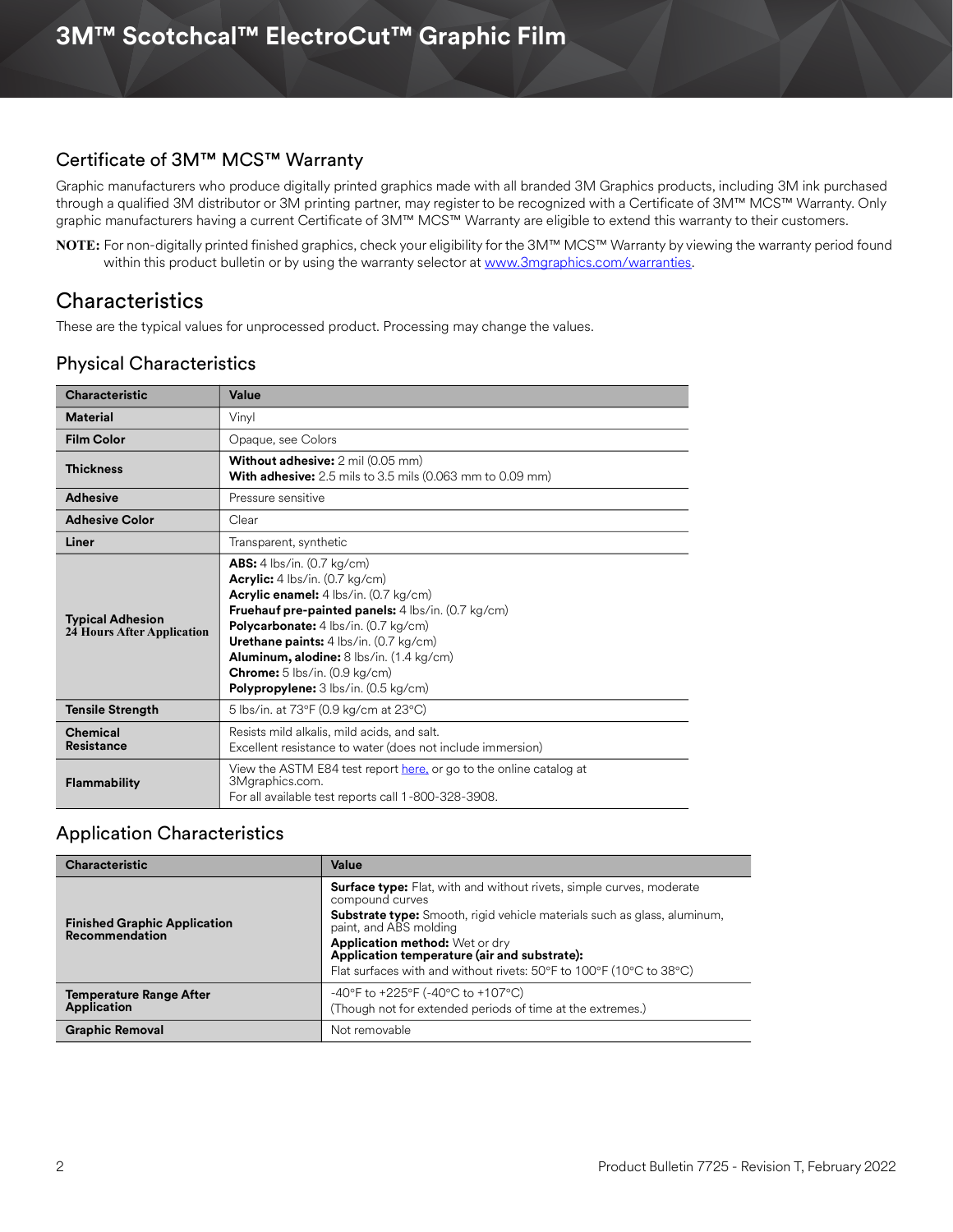#### <span id="page-1-0"></span>Certificate of 3M™ MCS™ Warranty

Graphic manufacturers who produce digitally printed graphics made with all branded 3M Graphics products, including 3M ink purchased through a qualified 3M distributor or 3M printing partner, may register to be recognized with a Certificate of 3M™ MCS™ Warranty. Only graphic manufacturers having a current Certificate of 3M™ MCS™ Warranty are eligible to extend this warranty to their customers.

**NOTE:** For non-digitally printed finished graphics, check your eligibility for the 3M™ MCS™ Warranty by viewing the warranty period found within this product bulletin or by using the warranty selector at <www.3mgraphics.com/warranties>.

## **Characteristics**

These are the typical values for unprocessed product. Processing may change the values.

## Physical Characteristics

| <b>Characteristic</b>                                 | Value                                                                                                                                                                                                                                                                                                                                                                                                                     |  |  |  |
|-------------------------------------------------------|---------------------------------------------------------------------------------------------------------------------------------------------------------------------------------------------------------------------------------------------------------------------------------------------------------------------------------------------------------------------------------------------------------------------------|--|--|--|
| <b>Material</b>                                       | Vinyl                                                                                                                                                                                                                                                                                                                                                                                                                     |  |  |  |
| <b>Film Color</b>                                     | Opaque, see Colors                                                                                                                                                                                                                                                                                                                                                                                                        |  |  |  |
| <b>Thickness</b>                                      | <b>Without adhesive:</b> 2 mil (0.05 mm)<br><b>With adhesive:</b> $2.5$ mils to $3.5$ mils (0.063 mm to 0.09 mm)                                                                                                                                                                                                                                                                                                          |  |  |  |
| <b>Adhesive</b>                                       | Pressure sensitive                                                                                                                                                                                                                                                                                                                                                                                                        |  |  |  |
| <b>Adhesive Color</b>                                 | Clear                                                                                                                                                                                                                                                                                                                                                                                                                     |  |  |  |
| Liner                                                 | Transparent, synthetic                                                                                                                                                                                                                                                                                                                                                                                                    |  |  |  |
| <b>Typical Adhesion</b><br>24 Hours After Application | <b>ABS:</b> 4 lbs/in. (0.7 kg/cm)<br><b>Acrylic:</b> $4 \text{ lbs/in.} (0.7 \text{ kg/cm})$<br>Acrylic enamel: 4 lbs/in. (0.7 kg/cm)<br>Fruehauf pre-painted panels: 4 lbs/in. (0.7 kg/cm)<br><b>Polycarbonate:</b> 4 lbs/in. (0.7 kg/cm)<br>Urethane paints: 4 lbs/in. (0.7 kg/cm)<br>Aluminum, alodine: 8 lbs/in. (1.4 kg/cm)<br><b>Chrome:</b> $5$ lbs/in. (0.9 kg/cm)<br><b>Polypropylene:</b> 3 lbs/in. (0.5 kg/cm) |  |  |  |
| <b>Tensile Strength</b>                               | 5 lbs/in. at 73°F (0.9 kg/cm at 23°C)                                                                                                                                                                                                                                                                                                                                                                                     |  |  |  |
| Chemical<br>Resistance                                | Resists mild alkalis, mild acids, and salt.<br>Excellent resistance to water (does not include immersion)                                                                                                                                                                                                                                                                                                                 |  |  |  |
| <b>Flammability</b>                                   | View the ASTM E84 test report here, or go to the online catalog at<br>3Mgraphics.com.<br>For all available test reports call 1-800-328-3908.                                                                                                                                                                                                                                                                              |  |  |  |

### Application Characteristics

| <b>Characteristic</b>                                                                                                                                   | Value                                                                                                                                                                                                                                                                                                                                                                |  |
|---------------------------------------------------------------------------------------------------------------------------------------------------------|----------------------------------------------------------------------------------------------------------------------------------------------------------------------------------------------------------------------------------------------------------------------------------------------------------------------------------------------------------------------|--|
| <b>Finished Graphic Application</b><br><b>Recommendation</b>                                                                                            | <b>Surface type:</b> Flat, with and without rivets, simple curves, moderate<br>compound curves<br><b>Substrate type:</b> Smooth, rigid vehicle materials such as glass, aluminum,<br>paint, and ABS molding<br>Application method: Wet or dry<br>Application temperature (air and substrate):<br>Flat surfaces with and without rivets: 50°F to 100°F (10°C to 38°C) |  |
| -40°F to +225°F (-40°C to +107°C)<br><b>Temperature Range After</b><br><b>Application</b><br>(Though not for extended periods of time at the extremes.) |                                                                                                                                                                                                                                                                                                                                                                      |  |
| <b>Graphic Removal</b>                                                                                                                                  | Not removable                                                                                                                                                                                                                                                                                                                                                        |  |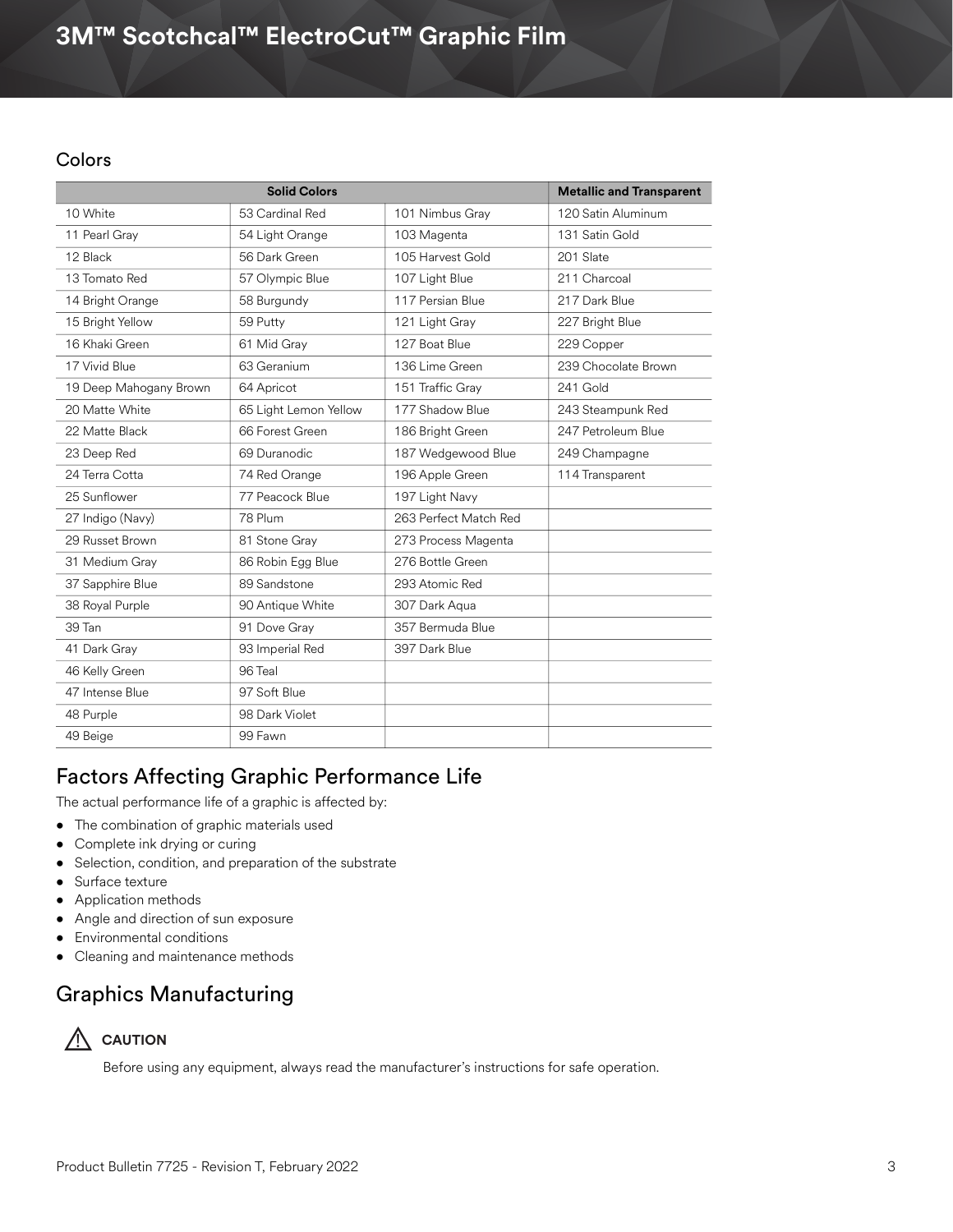## **3M™ Scotchcal™ ElectroCut™ Graphic Film**

#### Colors

| <b>Solid Colors</b>    |                       |                       | <b>Metallic and Transparent</b> |
|------------------------|-----------------------|-----------------------|---------------------------------|
| 10 White               | 53 Cardinal Red       | 101 Nimbus Gray       | 120 Satin Aluminum              |
| 11 Pearl Gray          | 54 Light Orange       | 103 Magenta           | 131 Satin Gold                  |
| 12 Black               | 56 Dark Green         | 105 Harvest Gold      | 201 Slate                       |
| 13 Tomato Red          | 57 Olympic Blue       | 107 Light Blue        | 211 Charcoal                    |
| 14 Bright Orange       | 58 Burgundy           | 117 Persian Blue      | 217 Dark Blue                   |
| 15 Bright Yellow       | 59 Putty              | 121 Light Gray        | 227 Bright Blue                 |
| 16 Khaki Green         | 61 Mid Gray           | 127 Boat Blue         | 229 Copper                      |
| 17 Vivid Blue          | 63 Geranium           | 136 Lime Green        | 239 Chocolate Brown             |
| 19 Deep Mahogany Brown | 64 Apricot            | 151 Traffic Gray      | 241 Gold                        |
| 20 Matte White         | 65 Light Lemon Yellow | 177 Shadow Blue       | 243 Steampunk Red               |
| 22 Matte Black         | 66 Forest Green       | 186 Bright Green      | 247 Petroleum Blue              |
| 23 Deep Red            | 69 Duranodic          | 187 Wedgewood Blue    | 249 Champagne                   |
| 24 Terra Cotta         | 74 Red Orange         | 196 Apple Green       | 114 Transparent                 |
| 25 Sunflower           | 77 Peacock Blue       | 197 Light Navy        |                                 |
| 27 Indigo (Navy)       | 78 Plum               | 263 Perfect Match Red |                                 |
| 29 Russet Brown        | 81 Stone Gray         | 273 Process Magenta   |                                 |
| 31 Medium Gray         | 86 Robin Egg Blue     | 276 Bottle Green      |                                 |
| 37 Sapphire Blue       | 89 Sandstone          | 293 Atomic Red        |                                 |
| 38 Royal Purple        | 90 Antique White      | 307 Dark Agua         |                                 |
| 39 Tan                 | 91 Dove Gray          | 357 Bermuda Blue      |                                 |
| 41 Dark Gray           | 93 Imperial Red       | 397 Dark Blue         |                                 |
| 46 Kelly Green         | 96 Teal               |                       |                                 |
| 47 Intense Blue        | 97 Soft Blue          |                       |                                 |
| 48 Purple              | 98 Dark Violet        |                       |                                 |
| 49 Beige               | 99 Fawn               |                       |                                 |

## Factors Affecting Graphic Performance Life

The actual performance life of a graphic is affected by:

- The combination of graphic materials used
- Complete ink drying or curing
- Selection, condition, and preparation of the substrate
- Surface texture
- Application methods
- Angle and direction of sun exposure
- Environmental conditions
- Cleaning and maintenance methods

## Graphics Manufacturing



Before using any equipment, always read the manufacturer's instructions for safe operation.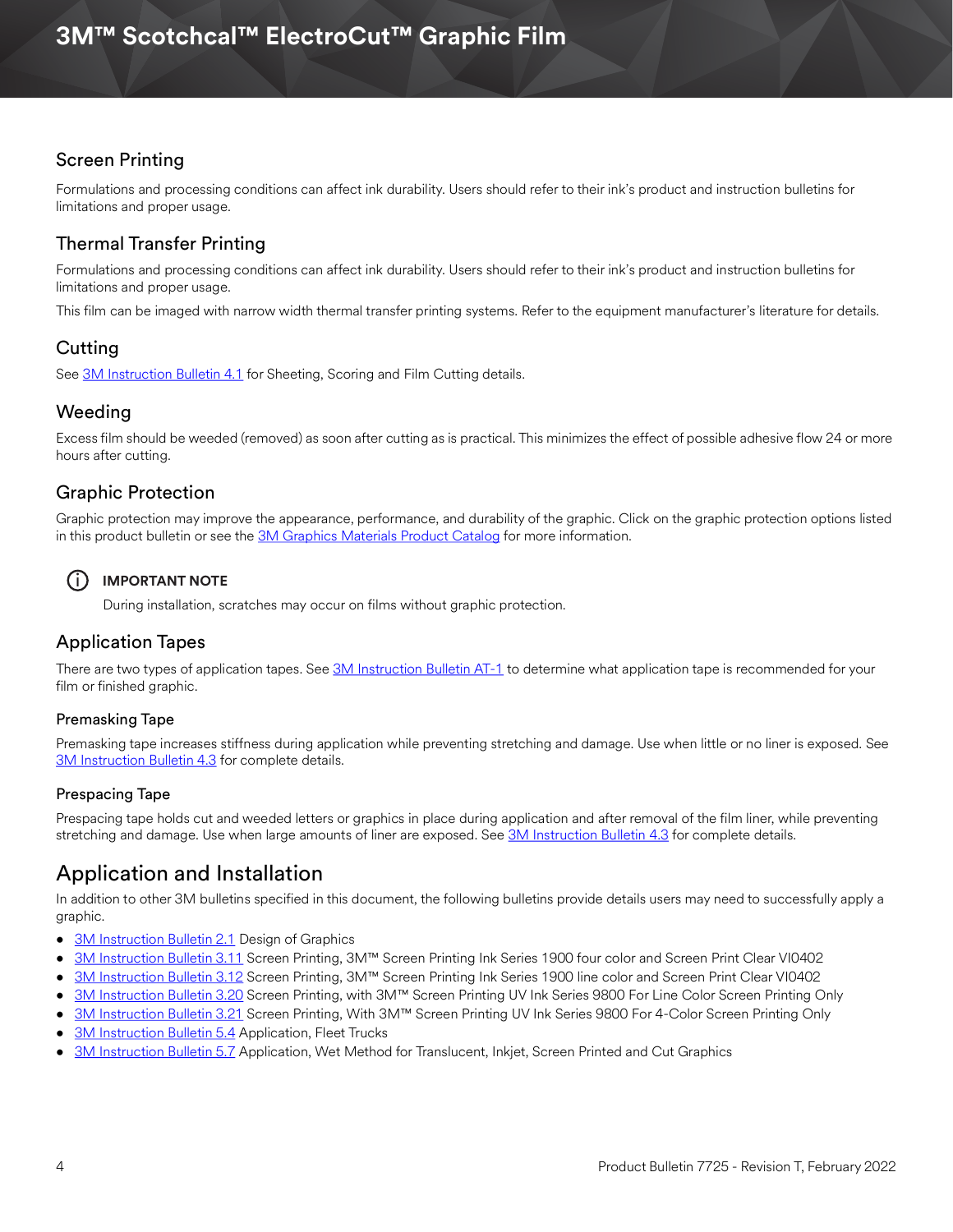## Screen Printing

Formulations and processing conditions can affect ink durability. Users should refer to their ink's product and instruction bulletins for limitations and proper usage.

## Thermal Transfer Printing

Formulations and processing conditions can affect ink durability. Users should refer to their ink's product and instruction bulletins for limitations and proper usage.

This film can be imaged with narrow width thermal transfer printing systems. Refer to the equipment manufacturer's literature for details.

## Cutting

See [3M Instruction Bulletin 4.1](http://multimedia.3m.com/mws/media/12586O/4-1-scoring-and-cutting.pdf) for Sheeting, Scoring and Film Cutting details.

## Weeding

Excess film should be weeded (removed) as soon after cutting as is practical. This minimizes the effect of possible adhesive flow 24 or more hours after cutting.

## Graphic Protection

Graphic protection may improve the appearance, performance, and durability of the graphic. Click on the graphic protection options listed in this product bulletin or see the [3M Graphics Materials Product Catalog](http://multimedia.3m.com/mws/media/443279O/inkjet-catalog-lowres.pdf) for more information.

## $(i)$  **IMPORTANT NOTE**

During installation, scratches may occur on films without graphic protection.

## Application Tapes

There are two types of application tapes. See [3M Instruction Bulletin AT-1](http://multimedia.3m.com/mws/media/1032943O/instruction-bulletin-at-1-application-tables.pdf) to determine what application tape is recommended for your film or finished graphic.

#### Premasking Tape

Premasking tape increases stiffness during application while preventing stretching and damage. Use when little or no liner is exposed. See [3M Instruction Bulletin 4.3](http://multimedia.3m.com/mws/media/12587O/4-3-application-tapes-premasking-and-prespacing.pdf) for complete details.

#### Prespacing Tape

Prespacing tape holds cut and weeded letters or graphics in place during application and after removal of the film liner, while preventing stretching and damage. Use when large amounts of liner are exposed. See [3M Instruction Bulletin 4.3](http://multimedia.3m.com/mws/media/12587O/4-3-application-tapes-premasking-and-prespacing.pdf) for complete details.

## Application and Installation

In addition to other 3M bulletins specified in this document, the following bulletins provide details users may need to successfully apply a graphic.

- [3M Instruction Bulletin 2.1](http://multimedia.3m.com/mws/media/12591O/2-1-design-of-graphics.pdf) Design of Graphics
- [3M Instruction Bulletin 3.11](http://multimedia.3m.com/mws/media/12713O/3-11-screen-printing-with-ink-series-1900-four-color.pdf) Screen Printing, 3M™ Screen Printing Ink Series 1900 four color and Screen Print Clear VI0402
- [3M Instruction Bulletin 3.12](http://multimedia.3m.com/mws/media/12714O/3-12-screen-printing-with-ink-series-1900-line-color.pdf) Screen Printing, 3M™ Screen Printing Ink Series 1900 line color and Screen Print Clear VI0402
- [3M Instruction Bulletin 3.20](http://multimedia.3m.com/mws/media/381380O/3-20-screen-printing-with-ink-series-9800-line-color.pdf) Screen Printing, with 3M™ Screen Printing UV Ink Series 9800 For Line Color Screen Printing Only
- [3M Instruction Bulletin 3.21](http://multimedia.3m.com/mws/media/411615O/3-21-screen-printing-with-ink-series-9800-four-color.pdf) Screen Printing, With 3M™ Screen Printing UV Ink Series 9800 For 4-Color Screen Printing Only
- [3M Instruction Bulletin 5.4](https://multimedia.3m.com/mws/media/12597O/5-4-application-of-film-to-vehicles-special-applications.pdf) Application, Fleet Trucks
- [3M Instruction Bulletin 5.7](http://multimedia.3m.com/mws/media/9621O/instruction-bulletin-5-7.pdf) Application, Wet Method for Translucent, Inkjet, Screen Printed and Cut Graphics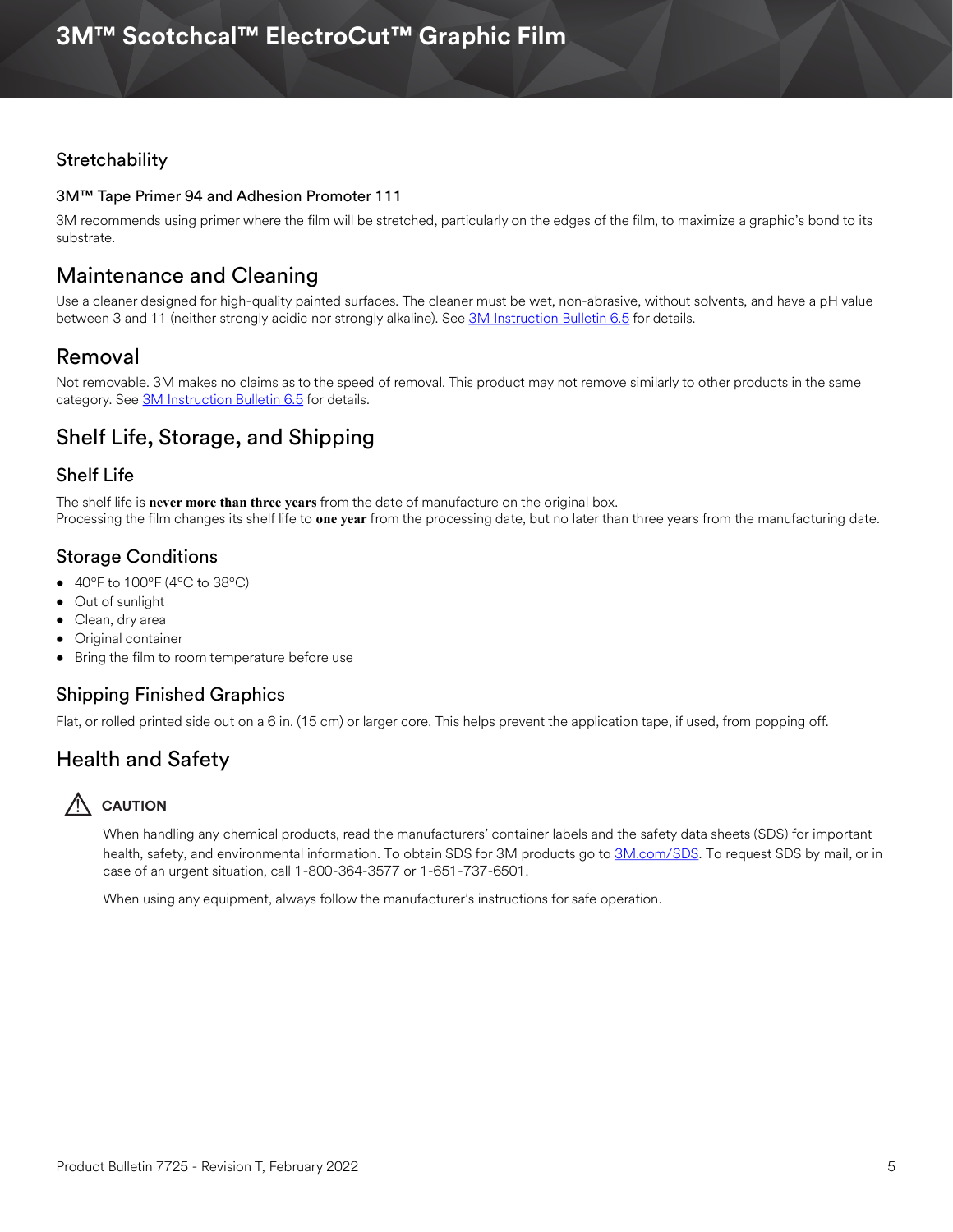#### **Stretchability**

#### 3M™ Tape Primer 94 and Adhesion Promoter 111

3M recommends using primer where the film will be stretched, particularly on the edges of the film, to maximize a graphic's bond to its substrate.

## Maintenance and Cleaning

Use a cleaner designed for high-quality painted surfaces. The cleaner must be wet, non-abrasive, without solvents, and have a pH value between 3 and 11 (neither strongly acidic nor strongly alkaline). See [3M Instruction Bulletin 6.5](http://multimedia.3m.com/mws/media/12593O/6-5-storage-handling-maintenance-removal-of-films-sheetings.pdf) for details.

## Removal

Not removable. 3M makes no claims as to the speed of removal. This product may not remove similarly to other products in the same category. See [3M Instruction Bulletin 6.5](http://multimedia.3m.com/mws/media/12593O/6-5-storage-handling-maintenance-removal-of-films-sheetings.pdf) for details.

## Shelf Life, Storage, and Shipping

#### Shelf Life

The shelf life is **never more than three years** from the date of manufacture on the original box. Processing the film changes its shelf life to **one year** from the processing date, but no later than three years from the manufacturing date.

### Storage Conditions

- $40^{\circ}$ F to  $100^{\circ}$ F ( $4^{\circ}$ C to  $38^{\circ}$ C)
- Out of sunlight
- Clean, dry area
- Original container
- Bring the film to room temperature before use

#### Shipping Finished Graphics

Flat, or rolled printed side out on a 6 in. (15 cm) or larger core. This helps prevent the application tape, if used, from popping off.

## Health and Safety

## **AUTION**

When handling any chemical products, read the manufacturers' container labels and the safety data sheets (SDS) for important health, safety, and environmental information. To obtain SDS for 3M products go to [3M.com/SDS](http://www.3m.com/SDS). To request SDS by mail, or in case of an urgent situation, call 1-800-364-3577 or 1-651-737-6501.

When using any equipment, always follow the manufacturer's instructions for safe operation.